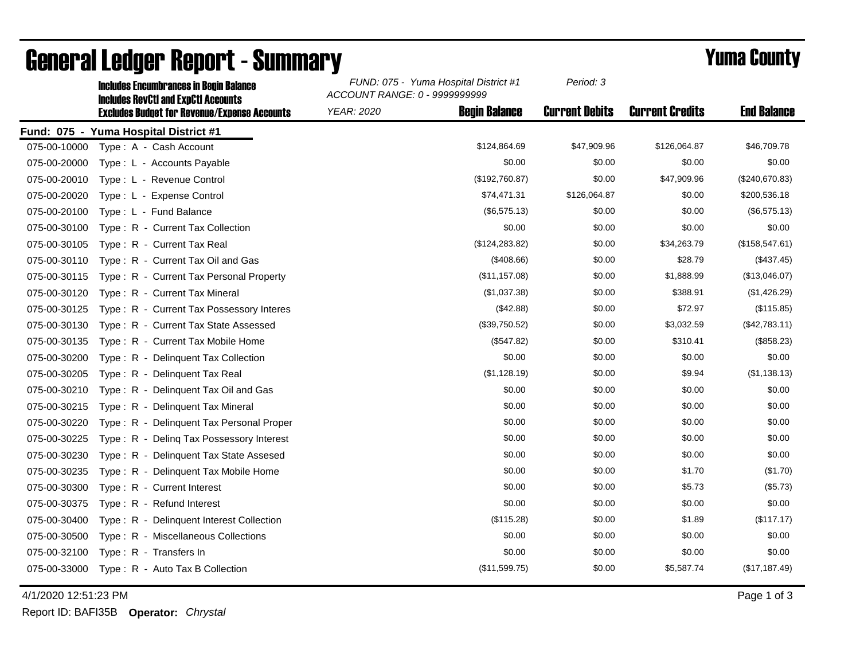|              | <b>Includes Encumbrances in Begin Balance</b><br><b>Includes RevCtI and ExpCtI Accounts</b> | FUND: 075 - Yuma Hospital District #1<br>ACCOUNT RANGE: 0 - 9999999999 |                      | Period: 3             |                        |                    |
|--------------|---------------------------------------------------------------------------------------------|------------------------------------------------------------------------|----------------------|-----------------------|------------------------|--------------------|
|              | <b>Excludes Budget for Revenue/Expense Accounts</b>                                         | <b>YEAR: 2020</b>                                                      | <b>Begin Balance</b> | <b>Current Debits</b> | <b>Current Credits</b> | <b>End Balance</b> |
|              | Fund: 075 - Yuma Hospital District #1                                                       |                                                                        |                      |                       |                        |                    |
| 075-00-10000 | Type: A - Cash Account                                                                      |                                                                        | \$124,864.69         | \$47,909.96           | \$126,064.87           | \$46,709.78        |
| 075-00-20000 | Type: L - Accounts Payable                                                                  |                                                                        | \$0.00               | \$0.00                | \$0.00                 | \$0.00             |
| 075-00-20010 | Type: L - Revenue Control                                                                   |                                                                        | (\$192,760.87)       | \$0.00                | \$47,909.96            | (\$240,670.83)     |
| 075-00-20020 | Type: L - Expense Control                                                                   |                                                                        | \$74,471.31          | \$126,064.87          | \$0.00                 | \$200,536.18       |
| 075-00-20100 | Type: L - Fund Balance                                                                      |                                                                        | (\$6,575.13)         | \$0.00                | \$0.00                 | (\$6,575.13)       |
| 075-00-30100 | Type: R - Current Tax Collection                                                            |                                                                        | \$0.00               | \$0.00                | \$0.00                 | \$0.00             |
| 075-00-30105 | Type: R - Current Tax Real                                                                  |                                                                        | (\$124, 283.82)      | \$0.00                | \$34,263.79            | (\$158, 547.61)    |
| 075-00-30110 | Type: R - Current Tax Oil and Gas                                                           |                                                                        | (\$408.66)           | \$0.00                | \$28.79                | (\$437.45)         |
| 075-00-30115 | Type: R - Current Tax Personal Property                                                     |                                                                        | (\$11,157.08)        | \$0.00                | \$1,888.99             | (\$13,046.07)      |
| 075-00-30120 | Type: R - Current Tax Mineral                                                               |                                                                        | (\$1,037.38)         | \$0.00                | \$388.91               | (\$1,426.29)       |
| 075-00-30125 | Type: R - Current Tax Possessory Interes                                                    |                                                                        | (\$42.88)            | \$0.00                | \$72.97                | (\$115.85)         |
| 075-00-30130 | Type: R - Current Tax State Assessed                                                        |                                                                        | (\$39,750.52)        | \$0.00                | \$3,032.59             | (\$42,783.11)      |
| 075-00-30135 | Type: R - Current Tax Mobile Home                                                           |                                                                        | (\$547.82)           | \$0.00                | \$310.41               | (\$858.23)         |
| 075-00-30200 | Type: R - Delinquent Tax Collection                                                         |                                                                        | \$0.00               | \$0.00                | \$0.00                 | \$0.00             |
| 075-00-30205 | Type: R - Delinquent Tax Real                                                               |                                                                        | (\$1,128.19)         | \$0.00                | \$9.94                 | (\$1,138.13)       |
| 075-00-30210 | Type: R - Delinquent Tax Oil and Gas                                                        |                                                                        | \$0.00               | \$0.00                | \$0.00                 | \$0.00             |
| 075-00-30215 | Type: R - Delinquent Tax Mineral                                                            |                                                                        | \$0.00               | \$0.00                | \$0.00                 | \$0.00             |
| 075-00-30220 | Type: R - Delinquent Tax Personal Proper                                                    |                                                                        | \$0.00               | \$0.00                | \$0.00                 | \$0.00             |
| 075-00-30225 | Type: R - Deling Tax Possessory Interest                                                    |                                                                        | \$0.00               | \$0.00                | \$0.00                 | \$0.00             |
| 075-00-30230 | Type: R - Delinquent Tax State Assesed                                                      |                                                                        | \$0.00               | \$0.00                | \$0.00                 | \$0.00             |
| 075-00-30235 | Type: R - Delinquent Tax Mobile Home                                                        |                                                                        | \$0.00               | \$0.00                | \$1.70                 | (\$1.70)           |
| 075-00-30300 | Type: R - Current Interest                                                                  |                                                                        | \$0.00               | \$0.00                | \$5.73                 | (\$5.73)           |
| 075-00-30375 | Type: R - Refund Interest                                                                   |                                                                        | \$0.00               | \$0.00                | \$0.00                 | \$0.00             |
| 075-00-30400 | Type: R - Delinquent Interest Collection                                                    |                                                                        | (\$115.28)           | \$0.00                | \$1.89                 | (\$117.17)         |
| 075-00-30500 | Type: R - Miscellaneous Collections                                                         |                                                                        | \$0.00               | \$0.00                | \$0.00                 | \$0.00             |
| 075-00-32100 | Type: R - Transfers In                                                                      |                                                                        | \$0.00               | \$0.00                | \$0.00                 | \$0.00             |
| 075-00-33000 | Type: R - Auto Tax B Collection                                                             |                                                                        | (\$11,599.75)        | \$0.00                | \$5,587.74             | (\$17, 187.49)     |

## General Ledger Report - Summary **Example 2018** Yuma County

4/1/2020 12:51:23 PM Page 1 of 3

Report ID: BAFI35B **Operator:** *Chrystal*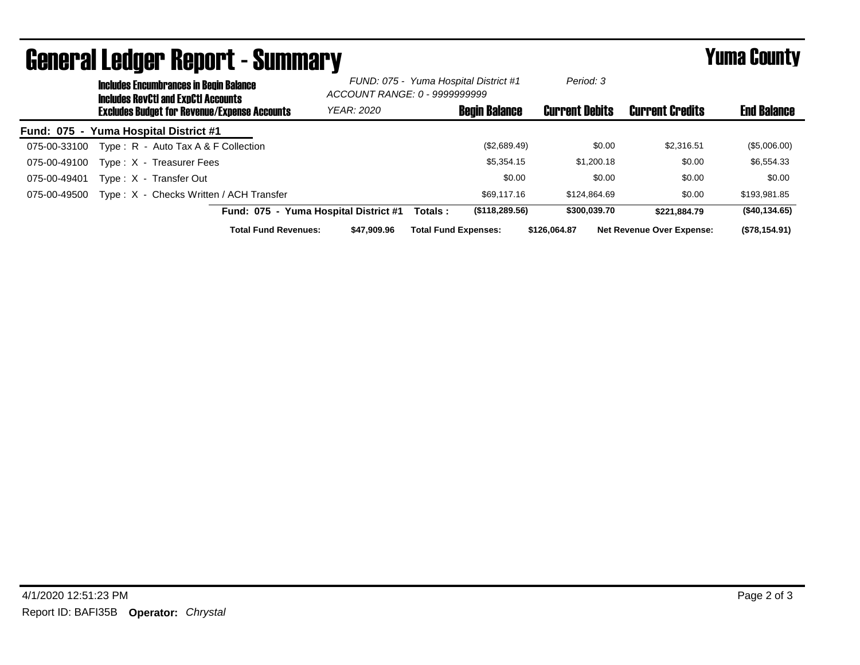| <b>General Ledger Report - Summary</b> |                                                                                             |                                       |                                                                        |                             |                      | <b>Yuma County</b>    |                                  |                    |
|----------------------------------------|---------------------------------------------------------------------------------------------|---------------------------------------|------------------------------------------------------------------------|-----------------------------|----------------------|-----------------------|----------------------------------|--------------------|
|                                        | <b>Includes Encumbrances in Begin Balance</b><br><b>Includes RevCtI and ExpCtI Accounts</b> |                                       | FUND: 075 - Yuma Hospital District #1<br>ACCOUNT RANGE: 0 - 9999999999 |                             | Period: 3            |                       |                                  |                    |
|                                        | <b>Excludes Budget for Revenue/Expense Accounts</b>                                         |                                       | <b>YEAR: 2020</b>                                                      |                             | <b>Begin Balance</b> | <b>Current Debits</b> | <b>Current Credits</b>           | <b>End Balance</b> |
|                                        | Fund: 075 - Yuma Hospital District #1                                                       |                                       |                                                                        |                             |                      |                       |                                  |                    |
| 075-00-33100                           | Type: $R -$ Auto Tax A & F Collection                                                       |                                       |                                                                        |                             | (\$2,689.49)         | \$0.00                | \$2.316.51                       | (\$5,006.00)       |
| 075-00-49100                           | Type: X - Treasurer Fees                                                                    |                                       |                                                                        |                             | \$5,354.15           | \$1,200.18            | \$0.00                           | \$6,554.33         |
| 075-00-49401                           | Type: X - Transfer Out                                                                      |                                       |                                                                        |                             | \$0.00               | \$0.00                | \$0.00                           | \$0.00             |
| 075-00-49500                           | Type: X - Checks Written / ACH Transfer                                                     |                                       |                                                                        |                             | \$69,117,16          | \$124,864.69          | \$0.00                           | \$193,981.85       |
|                                        |                                                                                             | Fund: 075 - Yuma Hospital District #1 |                                                                        | Totals :                    | (\$118,289.56)       | \$300,039.70          | \$221.884.79                     | (\$40,134.65)      |
|                                        |                                                                                             | <b>Total Fund Revenues:</b>           | \$47,909.96                                                            | <b>Total Fund Expenses:</b> |                      | \$126,064.87          | <b>Net Revenue Over Expense:</b> | (\$78,154.91)      |